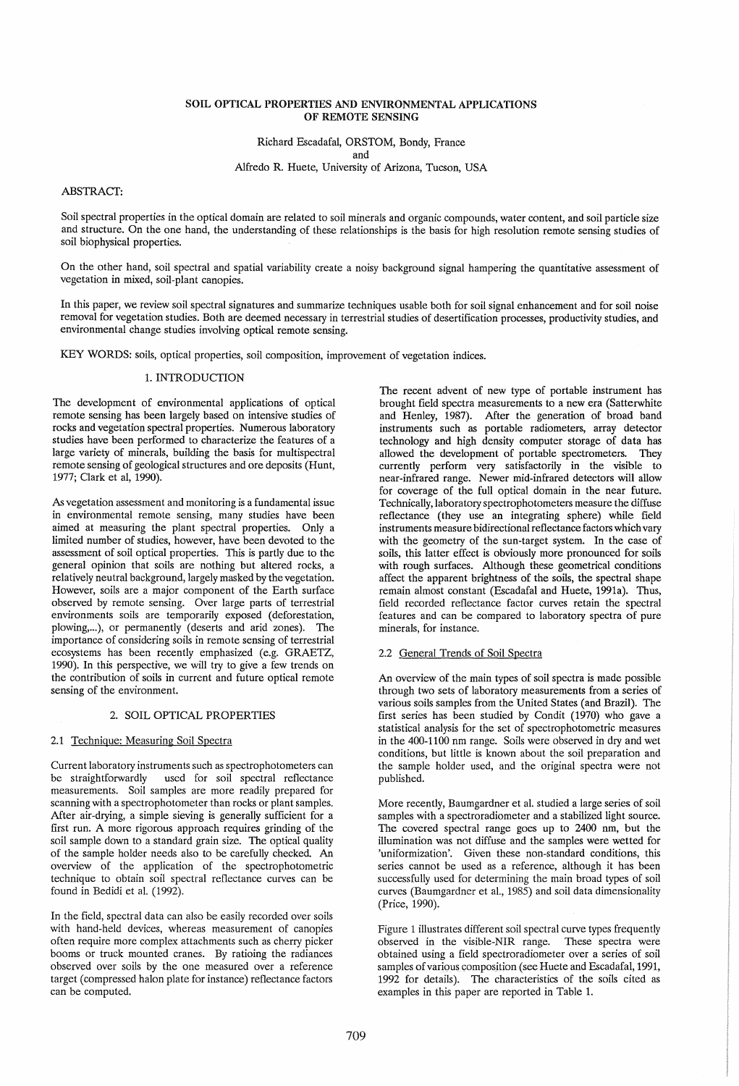## SOIL OPTICAL PROPERTIES AND ENVIRONMENTAL APPLICATIONS OF REMOTE SENSING

Richard Escadafal, ORSTOM, Bondy, France

and

Alfredo R. Huete, University of Arizona, Tucson, USA

ABSTRACf:

Soil spectral properties in the optical domain are related to soil minerals and organic compounds, water content, and soil particle size and structure. On the one hand, the understanding of these relationships is the basis for high resolution remote sensing studies of soil biophysical properties.

On the other hand, soil spectral and spatial variability create a noisy background signal hampering the quantitative assessment of vegetation in mixed, soil-plant canopies.

In this paper, we review soil spectral signatures and summarize techniques usable both for soil signal enhancement and for soil noise removal for vegetation studies. Both are deemed necessary in terrestrial studies of desertification processes, productivity studies, and environmental change studies involving optical remote sensing.

KEY WORDS: soils, optical properties, soil composition, improvement of vegetation indices.

# 1. INTRODUCfION

The development of environmental applications of optical remote sensing has been largely based on intensive studies of rocks and vegetation spectral properties. Numerous laboratory studies have been performed to characterize the features of a large variety of minerals, building the basis for multispectral remote sensing of geological structures and ore deposits (Hunt, 1977; Clark et aI, 1990).

As vegetation assessment and monitoring is a fundamental issue in environmental remote sensing, many studies have been aimed at measuring the plant spectral properties. Only a limited number of studies, however, have been devoted to the assessment of soil optical properties. This is partly due to the general opinion that soils are nothing but altered rocks, a relatively neutral background, largely masked by the vegetation. However, soils are a major component of the Earth surface observed by remote sensing. Over large parts of terrestrial environments soils are temporarily exposed (deforestation, plowing,...), or permanently (deserts and arid zones). The importance of considering soils in remote sensing of terrestrial ecosystems has been recently emphasized (e.g. GRAETZ, 1990). In this perspective, we will try to give a few trends on the contribution of soils in current and future optical remote sensing of the environment.

## 2. SOIL OPTICAL PROPERTIES

## 2.1 Technique: Measuring Soil Spectra

Current laboratory instruments such as spectrophotometers can be straightforwardly used for soil spectral reflectance measurements. Soil samples are more readily prepared for scanning with a spectrophotometer than rocks or plant samples. After air-drying, a simple sieving is generally sufficient for a first run. A more rigorous approach requires grinding of the soil sample down to a standard grain size. The optical quality of the sample holder needs also to be carefully checked. An overview of the application of the spectrophotometric technique to obtain soil spectral reflectance curves can be found in Bedidi et al. (1992).

In the field, spectral data can also be easily recorded over soils with hand-held devices, whereas measurement of canopies often require more complex attachments such as cherry picker booms or truck mounted cranes. By ratioing the radiances observed over soils by the one measured over a reference target (compressed halon plate for instance) reflectance factors can be computed.

The recent advent of new type of portable instrument has brought field spectra measurements to a new era (Satterwhite and Henley, 1987). After the generation of broad band instruments such as portable radiometers, array detector technology and high density computer storage of data has allowed the development of portable spectrometers. They currently perform very satisfactorily in the visible to near-infrared range. Newer mid-infrared detectors will allow for coverage of the full optical domain in the near future. Technically, laboratory spectrophotometers measure the diffuse reflectance (they use an integrating sphere) while field instruments measure bidirectional reflectance factors which vary with the geometry of the sun-target system. In the case of soils, this latter effect is obviously more pronounced for soils with rough surfaces. Although these geometrical conditions affect the apparent brightness of the soils, the spectral shape remain almost constant (Escadafal and Huete, 1991a). Thus, field recorded reflectance factor curves retain the spectral features and can be compared to laboratory spectra of pure minerals, for instance.

# 2.2 General Trends of Soil Spectra

An overview of the main types of soil spectra is made possible through two sets of laboratory measurements from a series of various soils samples from the United States (and Brazil). The first series has been studied by Condit (1970) who gave a statistical analysis for the set of spectrophotometric measures in the 400-1100 nm range. Soils were observed in dry and wet conditions, but little is known about the soil preparation and the sample holder used, and the original spectra were not published.

More recently, Baumgardner et al. studied a large series of soil samples with a spectroradiometer and a stabilized light source. The covered spectral range goes up to 2400 nm, but the illumination was not diffuse and the samples were wetted for 'uniformization'. Given these non-standard conditions, this series cannot be used as a reference, although it has been successfully used for determining the main broad types of soil curves (Baumgardner et al., 1985) and soil data dimensionality (Price, 1990).

Figure 1 illustrates different soil spectral curve types frequently observed in the visible-NIR range. These spectra were obtained using a field spectroradiometer over a series of soil samples of various composition (see Huete and Escadafal, 1991, 1992 for details). The characteristics of the soils cited as examples in this paper are reported in Table 1.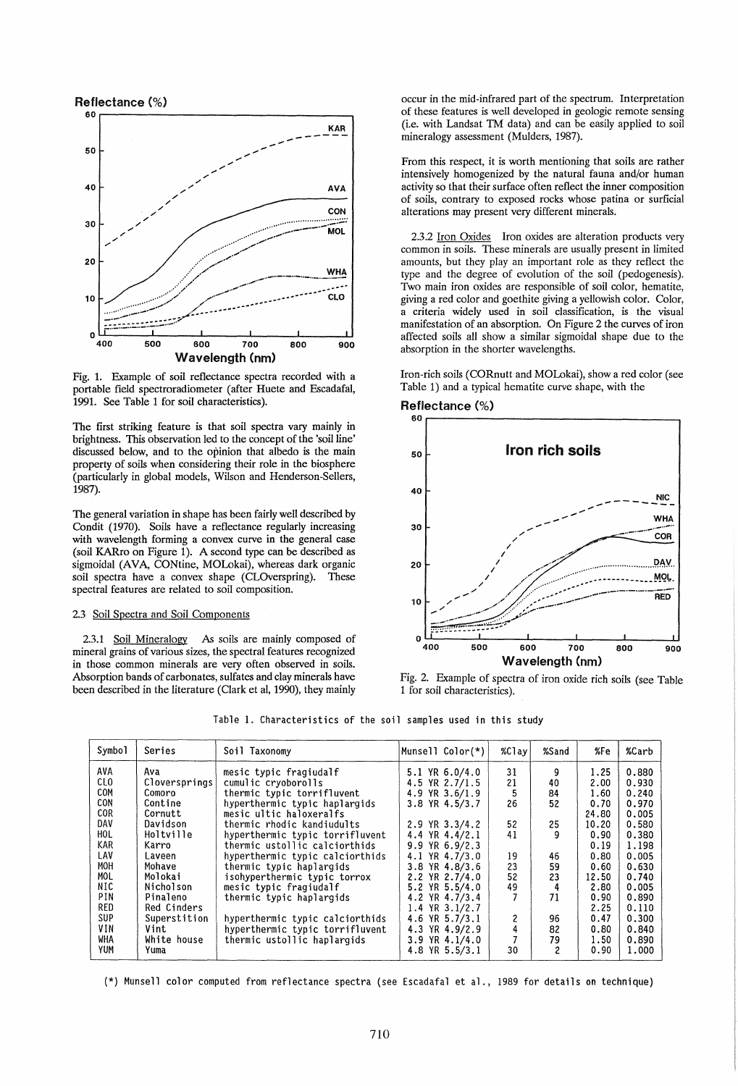

Fig. 1. Example of soil reflectance spectra recorded with a portable field spectroradiometer (after Huete and Escadafal, 1991. See Table 1 for soil characteristics).

The first striking feature is that soil spectra vary mainly in brightness. This observation led to the concept of the 'soil line' discussed below, and to the opinion that albedo is the main property of soils when considering their role in the biosphere (particularly in global models, Wilson and Henderson-Sellers, 1987).

The general variation in shape has been fairly well described by Condit (1970). Soils have a reflectance regularly increasing with wavelength forming a convex curve in the general case (soil KARro on Figure 1). A second type can be described as sigmoidal (AVA, CONtine, MOLokai), whereas dark organic soil spectra have a convex shape (CLOverspring). These spectral features are related to soil composition.

## 2.3 Soil Spectra and Soil Components

2.3.1 Soil Mineralogy As soils are mainly composed of mineral grains of various sizes, the spectral features recognized in those common minerals are very often observed in soils. Absorption bands of carbonates, sulfates and clay minerals have been described in the literature (Clark et aI, 1990), they mainly

occur in the mid-infrared part of the spectrum. Interpretation of these features is well developed in geologic remote sensing (i.e. with Landsat TM data) and can be easily applied to soil mineralogy assessment (Mulders, 1987).

From this respect, it is worth mentioning that soils are rather intensively homogenized by the natural fauna and/or human activity so that their surface often reflect the inner composition of soils, contrary to exposed rocks whose patina or surficial alterations may present very different minerals.

2.3.2 Iron Oxides Iron oxides are alteration products very common in soils. These minerals are usually present in limited amounts, but they play an important role as they reflect the type and the degree of evolution of the soil (pedogenesis). Two main iron oxides are responsible of soil color, hematite, giving a red color and goethite giving a yellowish color. Color, a criteria widely used in soil classification, is the visual manifestation of an absorption. On Figure 2 the curves of iron affected soils all show a similar sigmoidal shape due to the absorption in the shorter wavelengths.

Iron-rich soils (CORnutt and MOLokai), show a red color (see Table 1) and a typical hematite curve shape, with the





Fig. 2. Example of spectra of iron oxide rich soils (see Table 1 for soil characteristics).

Table 1. Characteristics of the soil samples used in this study

| Symbol     | Series        | Soil Taxonomy                   | Munsell Color(*)    | $%$ Clay | %Sand                   | %Fe   | %Carb |
|------------|---------------|---------------------------------|---------------------|----------|-------------------------|-------|-------|
| AVA        | Ava           | mesic typic fragiudalf          | $5.1$ YR $6.0/4.0$  | 31       | 9                       | 1.25  | 0.880 |
| <b>CLO</b> | Cloversprings | cumulic cryoborolls             | 4.5 YR 2.7/1.5      | 21       | 40                      | 2.00  | 0.930 |
| COM        | Comoro        | thermic typic torrifluvent      | 4.9 YR 3.6/1.9      | 5        | 84                      | 1.60  | 0.240 |
| CON        | Contine       | hyperthermic typic haplargids   | 3.8 YR 4.5/3.7      | 26       | 52                      | 0.70  | 0.970 |
| COR.       | Cornutt       | mesic ultic haloxeralfs         |                     |          |                         | 24.80 | 0.005 |
| DAV        | Davidson      | thermic rhodic kandiudults      | $2.9$ YR $3.3/4.2$  | 52       | 25                      | 10.20 | 0.580 |
| HOL        | Holtville     | hyperthermic typic torrifluvent | 4.4 YR $4.4/2.1$    | 41       | 9                       | 0.90  | 0.380 |
| <b>KAR</b> | Karro         | thermic ustollic calciorthids   | $9.9$ YR $6.9/2.3$  |          |                         | 0.19  | 1.198 |
| LAV        | Laveen        | hyperthermic typic calciorthids | 4.1 YR 4.7/3.0      | 19       | 46                      | 0.80  | 0.005 |
| MOH        | Mohave        | thermic typic haplargids        | 3.8 YR 4.8/3.6      | 23       | 59                      | 0.60  | 0.630 |
| MOL.       | Molokai       | isohyperthermic typic torrox    | 2.2 YR 2.7/4.0      | 52       | 23                      | 12.50 | 0.740 |
| NIC        | Nicholson     | mesic typic fragiudalf          | 5.2 YR 5.5/4.0      | 49       | 4                       | 2.80  | 0.005 |
| PIN        | Pinaleno      | thermic typic haplargids        | 4.2 YR 4.7/3.4      |          | 71                      | 0.90  | 0.890 |
| RED        | Red Cinders   |                                 | $1.4$ YR $3.1/2.7$  |          |                         | 2.25  | 0.110 |
| <b>SUP</b> | Superstition  | hyperthermic typic calciorthids | $YR$ 5.7/3.1<br>4.6 | 2        | 96                      | 0.47  | 0.300 |
| VIN        | Vint          | hyperthermic typic torrifluvent | 4.3 YR 4.9/2.9      | 4        | 82                      | 0.80  | 0.840 |
| WHA        | White house   | thermic ustollic haplargids     | $3.9$ YR $4.1/4.0$  |          | 79                      | 1.50  | 0.890 |
| <b>YUM</b> | Yuma          |                                 | 4.8 YR 5.5/3.1      | 30       | $\overline{\mathbf{c}}$ | 0.90  | 1.000 |

(\*) Munsell color computed from reflectance spectra (see Escadafal et al., 1989 for details on technique)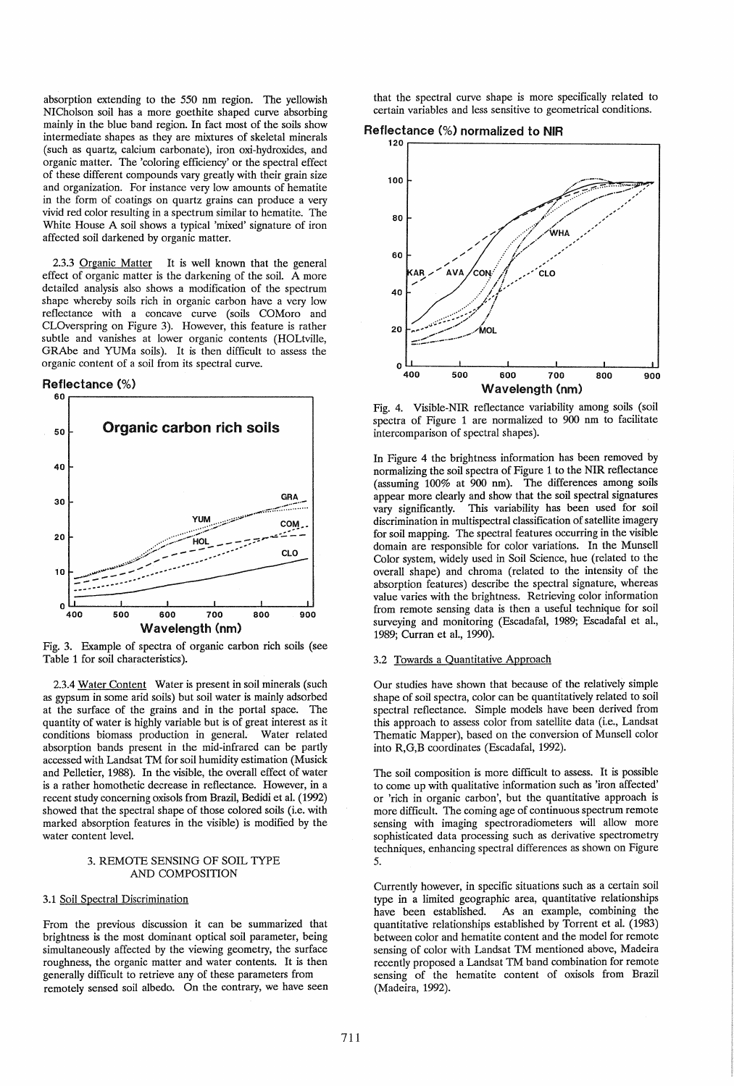absorption extending to the 550 nm region. The yellowish NICholson soil has a more goethite shaped curve absorbing mainly in the blue band region. In fact most of the soils show intermediate shapes as they are mixtures of skeletal minerals (such as quartz, calcium carbonate), iron oxi-hydroxides, and organic matter. The 'coloring efficiency' or the spectral effect of these different compounds vary greatly with their grain size and organization. For instance very low amounts of hematite in the form of coatings on quartz grains can produce a very vivid red color resulting in a spectrum similar to hematite. The White House A soil shows a typical 'mixed' signature of iron affected soil darkened by organic matter.

2.3.3 Organic Matter It is well known that the general effect of organic matter is the darkening of the soil. A more detailed analysis also shows a modification of the spectrum shape whereby soils rich in organic carbon have a very low reflectance with a concave curve (soils COMoro and CLOverspring on Figure 3). However, this feature is rather subtle and vanishes at lower organic contents (HOLtville, GRAbe and YUMa soils). It is then difficult to assess the organic content of a soil from its spectral curve.

Reflectance (%)



Fig. 3. Example of spectra of organic carbon rich soils (see Table 1 for soil characteristics).

2.3.4 Water Content Water is present in soil minerals (such as gypsum in some arid soils) but soil water is mainly adsorbed at the surface of the grains and in the portal space. The quantity of water is highly variable but is of great interest as it conditions biomass production in general. Water related absorption bands present in the mid-infrared can be partly accessed with Landsat TM for soil humidity estimation (Musick and Pelletier, 1988). In the visible, the overall effect of water is a rather homothetic decrease in reflectance. However, in a recent study concerning oxisols from Brazil, Bedidi et a1. (1992) showed that the spectral shape of those colored soils (i.e. with marked absorption features in the visible) is modified by the water content level.

# 3. REMOTE SENSING OF SOIL TYPE AND COMPOSITION

# 3.1 Soil Spectral Discrimination

From the previous discussion it can be summarized that brightness is the most dominant optical soil parameter, being simultaneously affected by the viewing geometry, the surface roughness, the organic matter and water contents. It is then generally difficult to retrieve any of these parameters from remotely sensed soil albedo. On the contrary, we have seen that the spectral curve shape is more specifically related to certain variables and less sensitive to geometrical conditions.

Reflectance (%) normalized to NIR



Fig. 4. Visible-NIR reflectance variability among soils (soil spectra of Figure 1 are normalized to 900 nm to facilitate intercomparison of spectral shapes).

In Figure 4 the brightness information has been removed by normalizing the soil spectra of Figure 1 to the NIR reflectance (assuming 100% at 900 nm). The differences among soils appear more clearly and show that the soil spectral signatures vary significantly. This variability has been used for soil discrimination in multispectral classification of satellite imagery for soil mapping. The spectral features occurring in the visible domain are responsible for color variations. In the Munsell Color system, widely used in Soil Science, hue (related to the overall shape) and chroma (related to the intensity of the absorption features) describe the spectral signature, whereas value varies with the brightness. Retrieving color information from remote sensing data is then a useful technique for soil surveying and monitoring (Escadafal, 1989; Escadafal et aI., 1989; Curran et aI., 1990).

#### 3.2 Towards a Quantitative Approach

Our studies have shown that because of the relatively simple shape of soil spectra, color can be quantitatively related to soil spectral reflectance. Simple models have been derived from this approach to assess color from satellite data (i.e., Landsat Thematic Mapper), based on the conversion of Munsell color into R,G,B coordinates (Escadafal, 1992).

The soil composition is more difficult to assess. It is possible to come up with qualitative information such as 'iron affected' or 'rich in organic carbon', but the quantitative approach is more difficult. The coming age of continuous spectrum remote sensing with imaging spectroradiometers will allow more sophisticated data processing such as derivative spectrometry techniques, enhancing spectral differences as shown on Figure 5.

Currently however, in specific situations such as a certain soil type in a limited geographic area, quantitative relationships have been established. As an example, combining the quantitative relationships established by Torrent et a!. (1983) between color and hematite content and the model for remote sensing of color with Landsat TM mentioned above, Madeira recently proposed a Landsat TM band combination for remote sensing of the hematite content of oxisols from Brazil (Madeira, 1992).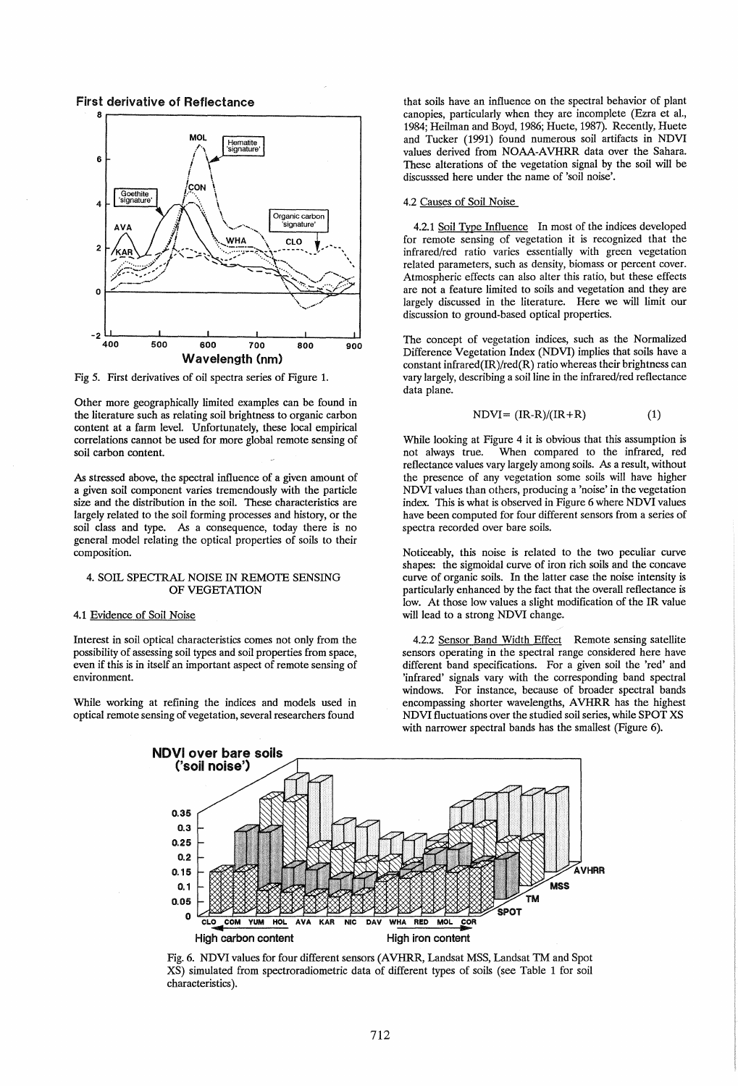First derivative of Reflectance



Fig 5. First derivatives of oil spectra series of Figure 1.

Other more geographically limited examples can be found in the literature such as relating soil brightness to organic carbon content at a farm level. Unfortunately, these local empirical correlations cannot be used for more global remote sensing of soil carbon content.

As stressed above, the spectral influence of a given amount of a given soil component varies tremendously with the particle size and the distribution in the soil. These characteristics are largely related to the soil forming processes and history, or the soil class and type. As a consequence, today there is no general model relating the optical properties of soils to their composition.

## 4. SOIL SPECTRAL NOISE IN REMOTE SENSING OF VEGETATION

## 4.1 Evidence of Soil Noise

Interest in soil optical characteristics comes not only from the possibility of assessing soil types and soil properties from space, even if this is in itself an important aspect of remote sensing of environment.

While working at refining the indices and models used in optical remote sensing of vegetation, several researchers found

that soils have an influence on the spectral behavior of plant canopies, particularly when they are incomplete (Ezra et al., 1984; Heilman and Boyd, 1986; Huete, 1987). Recently, Huete and Tucker (1991) found numerous soil artifacts in NDVI values derived from NOAA-AVHRR data over the Sahara. These alterations of the vegetation signal by the soil will be discusssed here under the name of 'soil noise'.

# 4.2 Causes of Soil Noise

4.2.1 Soil Type Influence In most of the indices developed for remote sensing of vegetation it is recognized that the infrared/red ratio varies essentially with green vegetation related parameters, such as density, biomass or percent cover. Atmospheric effects can also alter this ratio, but these effects are not a feature limited to soils and vegetation and they are largely discussed in the literature. Here we will limit our discussion to ground-based optical properties.

The concept of vegetation indices, such as the Normalized Difference Vegetation Index (NDVI) implies that soils have a constant infrared(IR)/red(R) ratio whereas their brightness can vary largely, describing a soil line in the infrared/red reflectance data plane.

$$
NDVI = (IR-R)/(IR+R)
$$
 (1)

While looking at Figure 4 it is obvious that this assumption is not always true. When compared to the infrared, red reflectance values vary largely among soils. As a result, without the presence of any vegetation some soils will have higher NDVI values than others, producing a 'noise' in the vegetation index. This is what is observed in Figure 6 where NDVI values have been computed for four different sensors from a series of spectra recorded over bare soils.

Noticeably, this noise is related to the two peculiar curve shapes: the sigmoidal curve of iron rich soils and the concave curve of organic soils. In the latter case the noise intensity is particularly enhanced by the fact that the overall reflectance is low. At those low values a slight modification of the IR value will lead to a strong NDVI change.

4.2.2 Sensor Band Width Effect Remote sensing satellite sensors operating in the spectral range considered here have different band specifications. For a given soil the 'red' and 'infrared' signals vary with the corresponding band spectral windows. For instance, because of broader spectral bands encompassing shorter wavelengths, AVHRR has the highest NDVI fluctuations over the studied soil series, while SPOT XS with narrower spectral bands has the smallest (Figure 6).



Fig. 6. NDVI values for four different sensors (AVHRR, Landsat MSS, Landsat TM and Spot XS) simulated from spectroradiometric data of different types of soils (see Table 1 for soil characteristics).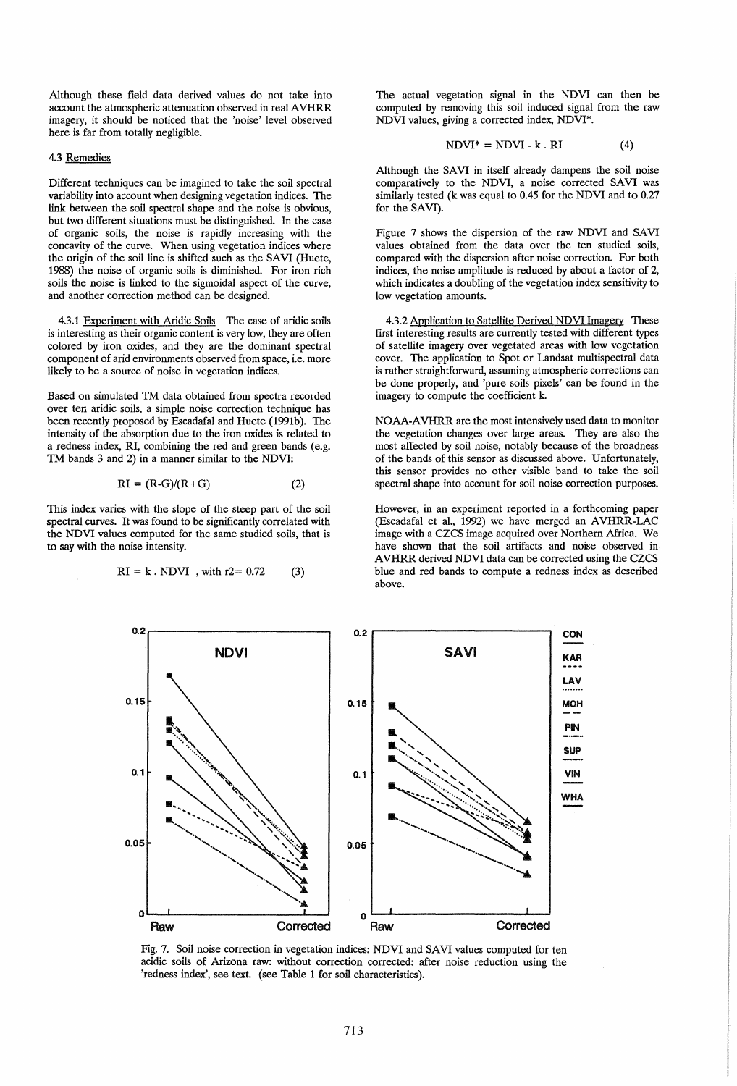Although these field data derived values do not take into account the atmospheric attenuation observed in real AVHRR imagery, it should be noticed that the 'noise' level observed here is far from totally negligible.

## 4.3 Remedies

Different techniques can be imagined to take the soil spectral variability into account when designing vegetation indices. The link between the soil spectral shape and the noise is obvious, but two different situations must be distinguished. In the case of organic soils, the noise is rapidly increasing with the concavity of the curve. When using vegetation indices where the origin of the soil line is shifted such as the SAVI (Huete, 1988) the noise of organic soils is diminished. For iron rich soils the noise is linked to the sigmoidal aspect of the curve, and another correction method can be designed.

4.3.1 Experiment with Aridic Soils The case of aridic soils is interesting as their organic content is very low, they are often colored by iron oxides, and they are the dominant spectral component of arid environments observed from space, i.e. more likely to be a source of noise in vegetation indices.

Based on simulated TM data obtained from spectra recorded over ten aridic soils, a simple noise correction technique has been recently proposed by Escadafal and Huete (1991b). The intensity of the absorption due to the iron oxides is related to a redness index, RI, combining the red and green bands (e.g. TM bands 3 and 2) in a manner similar to the NDVI:

$$
RI = (R-G)/(R+G)
$$
 (2)

This index varies with the slope of the steep part of the soil spectral curves. It was found to be significantly correlated with the NDVI values computed for the same studied soils, that is to say with the noise intensity.

$$
RI = k \cdot NDVI
$$
, with r2 = 0.72 (3)

The actual vegetation signal in the NDVI can then be computed by removing this soil induced signal from the raw NDVI values, giving a corrected index, NDVI\*.

$$
NDVI^* = NDVI - k . RI
$$
 (4)

Although the SAVI in itself already dampens the soil noise comparatively to the NDVI, a noise corrected SAVI was similarly tested (k was equal to 0.45 for the NDVI and to 0.27 for the SAVI).

Figure 7 shows the dispersion of the raw NDVI and SAVI values obtained from the data over the ten studied soils, compared with the dispersion after noise correction. For both indices, the noise amplitude is reduced by about a factor of 2, which indicates a doubling of the vegetation index sensitivity to low vegetation amounts.

4.3.2 Application to Satellite Derived NDVI Imagery These first interesting results are currently tested with different types of satellite imagery over vegetated areas with low vegetation cover. The application to Spot or Landsat multispectral data is rather straightforward, assuming atmospheric corrections can be done properly, and 'pure soils pixels' can be found in the imagery to compute the coefficient k.

NOAA-A VHRR are the most intensively used data to monitor the vegetation changes over large areas. They are also the most affected by soil noise, notably because of the broadness of the bands of this sensor as discussed above. Unfortunately, this sensor provides no other visible band to take the soil spectral shape into account for soil noise correction purposes.

However, in an experiment reported in a forthcoming paper (Escadafal et al., 1992) we have merged an AVHRR-LAC image with a CZCS image acquired over Northern Africa. We have shown that the soil artifacts and noise observed in AVHRR derived NDVI data can be corrected using the CZCS blue and red bands to compute a redness index as described above.



Fig. 7. Soil noise correction in vegetation indices: NDVI and SAVI values computed for ten acidic soils of Arizona raw: without correction corrected: after noise reduction using the 'redness index', see text. (see Table 1 for soil characteristics).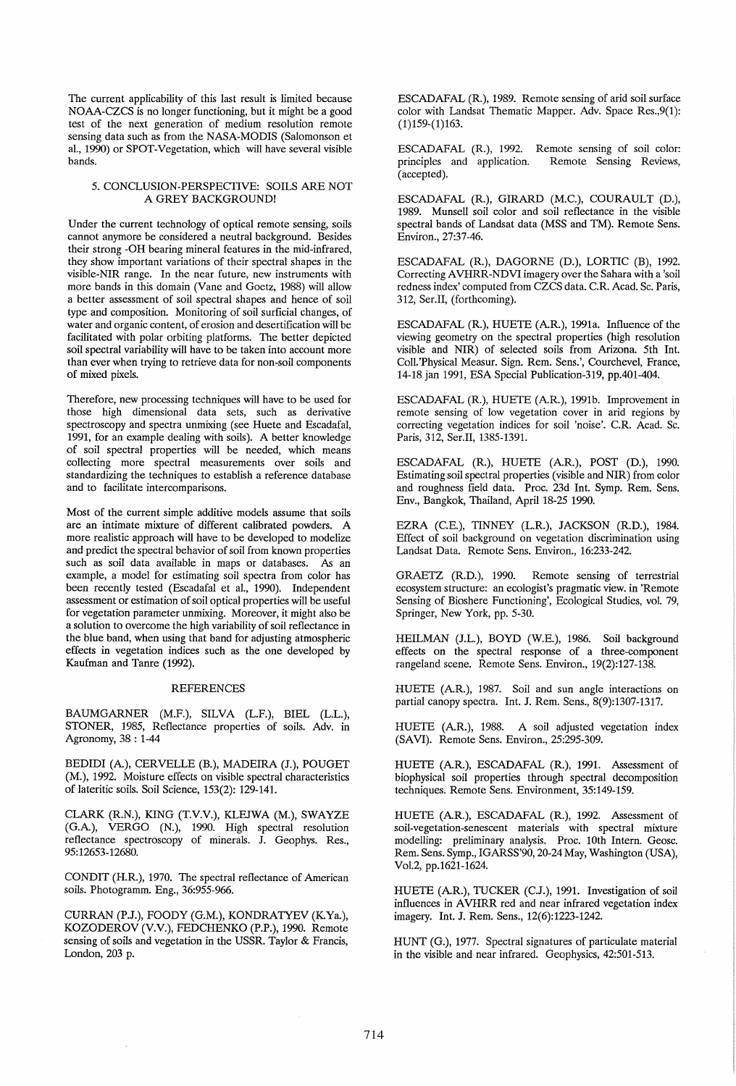The current applicability of this last result is limited because NOAA-CZCS is no longer functioning, but it might be a good test of the next generation of medium resolution remote sensing data such as from the NASA-MODIS (Salomonson et al., 1990) or SPOT-Vegetation, which will have several visible bands.

## 5. CONCLUSION-PERSPECTIVE: SOILS ARE NOT A GREY BACKGROUND!

Under the current technology of optical remote sensing, soils cannot anymore be considered a neutral background. Besides their strong -OH bearing mineral features in the mid-infrared, they show important variations of their spectral shapes in the visible-NIR range. In the near future, new instruments with more bands in this domain (Vane and Goetz, 1988) will allow a better assessment of soil spectral shapes and hence of soil type and composition. Monitoring of soil surficial changes, of water and organic content, of erosion and desertification will be facilitated with polar orbiting platforms. The better depicted soil spectral variability will have to be taken into account more than ever when trying to retrieve data for non-soil components of mixed pixels.

Therefore, new processing techniques will have to be used for those high dimensional data sets, such as derivative spectroscopy and spectra unmixing (see Huete and Escadafal, 1991, for an example dealing with soils). A better knowledge of soil spectral properties will be needed, which means collecting more spectral measurements over soils and standardizing the techniques to establish a reference database and to facilitate intercomparisons.

Most of the current simple additive models assume that soils are an intimate mixture of different calibrated powders. A more realistic approach will have to be developed to modelize and predict the spectral behavior of soil from known properties such as soil data available in maps or databases. As an example, a model for estimating soil spectra from color has been recently tested (Escadafal et al., 1990). Independent assessment or estimation of soil optical properties will be useful for vegetation parameter unmixing. Moreover, it might also be a solution to overcome the high variability of soil reflectance in the blue band, when using that band for adjusting atmospheric effects in vegetation indices such as the one developed by Kaufman and Tame (1992).

## REFERENCES

BAUMGARNER (M.F.), SILVA (L.F.), BIEL (L.L.), STONER, 1985, Reflectance properties of soils. Adv. in Agronomy, 38 : 1-44

BEDIDI (A), CERVELLE (B.), MADEIRA (J.), POUGET (M.), 1992. Moisture effects on visible spectral characteristics of lateritic soils. Soil Science, 153(2): 129-141.

CLARK (R.N.), KING (T.V.V.), KLEJWA (M.), SWAYZE (G.A), VERGO (N.), 1990. High spectral resolution reflectance spectroscopy of minerals. J. Geophys. Res., 95: 12653-12680.

CONDIT (H.R), 1970. The spectral reflectance of American soils. Photogramm. Eng., 36:955-966.

CURRAN (P.J.), FOODY (G.M.), KONDRATYEV (K Ya.), KOZODEROV (V.V.), FEDCHENKO (P.P.), 1990. Remote sensing of soils and vegetation in the USSR. Taylor & Francis, London, 203 p.

ESCADAFAL (R), 1989. Remote sensing of arid soil surface color with Landsat Thematic Mapper. Adv. Space Res.,9(1):  $(1)$ 159- $(1)$ 163.

ESCADAFAL (R), 1992. Remote sensing of soil color: principles and application. ( accepted). Remote Sensing Reviews,

ESCADAFAL (R), GIRARD (M.C.), COURAULT (D.), 1989. Munsell soil color and soil reflectance in the visible spectral bands of Landsat data (MSS and TM). Remote Sens. Environ., 27:37-46.

ESCADAFAL (R), DAGORNE (D.), LORTIC (B), 1992. Correcting AVHRR-NDVI imagery over the Sahara with a 'soil redness index' computed from CZCS data. C.R. Acad. Sc. Paris, 312, Ser.II, (forthcoming).

ESCADAFAL (R), HUETE (AR), 1991a. Influence of the viewing geometry on the spectral properties (high resolution visible and NIR) of selected soils from Arizona. 5th Int. Coll.'Physical Measur. Sign. Rem. Sens.', Courchevel, France, 14-18 jan 1991, ESA Special Publication-319, pp.401-404.

ESCADAFAL (R.), HUETE (A.R.), 1991b. Improvement in remote sensing of low vegetation cover in arid regions by correcting vegetation indices for soil 'noise'. C.R Acad. Sc. Paris, 312, Ser.II, 1385-1391.

ESCADAFAL (R), HUETE (AR), POST (D.), 1990. Estimating soil spectral properties (visible and NIR) from color and roughness field data. Proc. 23d Int. Symp. Rem. Sens. Env., Bangkok, Thailand, April 18-25 1990.

EZRA (C.E.), TINNEY (L.R.), JACKSON (R.D.), 1984. Effect of soil background on vegetation discrimination using Landsat Data. Remote Sens. Environ., 16:233-242.

GRAETZ (R.D.), 1990. Remote sensing of terrestrial ecosystem structure: an ecologist's pragmatic view. in 'Remote Sensing of Bioshere Functioning', Ecological Studies, vol. 79, Springer, New York, pp. 5-30.

HEILMAN (J.L.), BOYD (W.E.), 1986. Soil background effects on the spectral response of a three-component rangeland scene. Remote Sens. Environ., 19(2):127-138.

HUETE (AR), 1987. Soil and sun angle interactions on partial canopy spectra. Int. J. Rem. Sens., 8(9):1307-1317.

HUETE (AR.), 1988. A soil adjusted vegetation index (SAVI). Remote Sens. Environ., 25:295-309.

HUETE (AR), ESCADAFAL (R), 1991. Assessment of biophysical soil properties through spectral decomposition techniques. Remote Sens. Environment, 35:149-159.

HUETE (AR), ESCADAFAL (R), 1992. Assessment of soil-vegetation-senescent materials with spectral mixture modelling: preliminary analysis. Proc. 10th Intern. Geosc. Rem. Sens. Symp., IGARSS'90, 20-24 May, Washington (USA), Vol.2, pp.1621-1624.

HUETE (AR), TUCKER (C.J.), 1991. Investigation of soil influences in AVHRR red and near infrared vegetation index imagery. Int. J. Rem. Sens., 12(6):1223-1242.

HUNT (G.), 1977. Spectral signatures of particulate material in the visible and near infrared. Geophysics, 42:501-513.